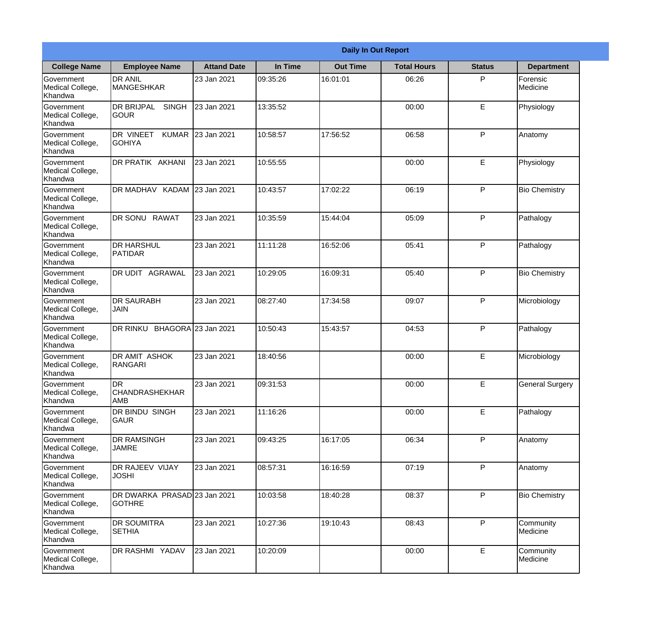|                                                  |                                                     |                     |          | <b>Daily In Out Report</b> |                    |               |                        |
|--------------------------------------------------|-----------------------------------------------------|---------------------|----------|----------------------------|--------------------|---------------|------------------------|
| <b>College Name</b>                              | <b>Employee Name</b>                                | <b>Attand Date</b>  | In Time  | <b>Out Time</b>            | <b>Total Hours</b> | <b>Status</b> | <b>Department</b>      |
| Government<br>Medical College,<br>Khandwa        | <b>DR ANIL</b><br><b>MANGESHKAR</b>                 | 23 Jan 2021         | 09:35:26 | 16:01:01                   | 06:26              | P             | Forensic<br>Medicine   |
| Government<br>Medical College,<br>Khandwa        | <b>DR BRIJPAL</b><br><b>SINGH</b><br> GOUR          | 23 Jan 2021         | 13:35:52 |                            | 00:00              | E             | Physiology             |
| <b>Government</b><br>Medical College,<br>Khandwa | <b>DR VINEET</b><br><b>KUMAR</b><br><b>I</b> GOHIYA | 23 Jan 2021         | 10:58:57 | 17:56:52                   | 06:58              | P             | Anatomy                |
| Government<br>Medical College,<br>Khandwa        | <b>DR PRATIK AKHANI</b>                             | 23 Jan 2021         | 10:55:55 |                            | 00:00              | E             | Physiology             |
| Government<br>Medical College,<br>Khandwa        | DR MADHAV KADAM 23 Jan 2021                         |                     | 10:43:57 | 17:02:22                   | 06:19              | P             | <b>Bio Chemistry</b>   |
| Government<br>Medical College,<br>Khandwa        | DR SONU RAWAT                                       | 23 Jan 2021         | 10:35:59 | 15:44:04                   | 05:09              | P             | Pathalogy              |
| Government<br>Medical College,<br>Khandwa        | IDR HARSHUL<br><b>PATIDAR</b>                       | 23 Jan 2021         | 11:11:28 | 16:52:06                   | 05:41              | P             | Pathalogy              |
| Government<br>Medical College,<br>Khandwa        | DR UDIT AGRAWAL                                     | 23 Jan 2021         | 10:29:05 | 16:09:31                   | 05:40              | P             | <b>Bio Chemistry</b>   |
| Government<br>Medical College,<br>Khandwa        | <b>DR SAURABH</b><br><b>JAIN</b>                    | 23 Jan 2021         | 08:27:40 | 17:34:58                   | 09:07              | P             | Microbiology           |
| Government<br>Medical College,<br>Khandwa        | DR RINKU                                            | BHAGORA 23 Jan 2021 | 10:50:43 | 15:43:57                   | 04:53              | P             | Pathalogy              |
| Government<br>Medical College,<br>Khandwa        | <b>DR AMIT ASHOK</b><br><b>RANGARI</b>              | 23 Jan 2021         | 18:40:56 |                            | 00:00              | E             | Microbiology           |
| Government<br>Medical College,<br>Khandwa        | ldr<br>CHANDRASHEKHAR<br><b>AMB</b>                 | 23 Jan 2021         | 09:31:53 |                            | 00:00              | E             | <b>General Surgery</b> |
| Government<br>Medical College,<br>Khandwa        | DR BINDU SINGH<br><b>GAUR</b>                       | 23 Jan 2021         | 11:16:26 |                            | 00:00              | E             | Pathalogy              |
| Government<br>Medical College,<br>Khandwa        | <b>DR RAMSINGH</b><br><b>JAMRE</b>                  | 23 Jan 2021         | 09:43:25 | 16:17:05                   | 06:34              | P             | Anatomy                |
| Government<br>Medical College,<br>Khandwa        | <b>DR RAJEEV VIJAY</b><br><b>JOSHI</b>              | 23 Jan 2021         | 08:57:31 | 16:16:59                   | 07:19              | $\mathsf{P}$  | Anatomy                |
| Government<br>Medical College,<br>Khandwa        | DR DWARKA PRASAD 23 Jan 2021<br><b>GOTHRE</b>       |                     | 10:03:58 | 18:40:28                   | 08:37              | P             | <b>Bio Chemistry</b>   |
| Government<br>Medical College,<br>Khandwa        | <b>DR SOUMITRA</b><br><b>SETHIA</b>                 | 23 Jan 2021         | 10:27:36 | 19:10:43                   | 08:43              | P             | Community<br>Medicine  |
| Government<br>Medical College,<br>Khandwa        | DR RASHMI YADAV                                     | 23 Jan 2021         | 10:20:09 |                            | 00:00              | E             | Community<br>Medicine  |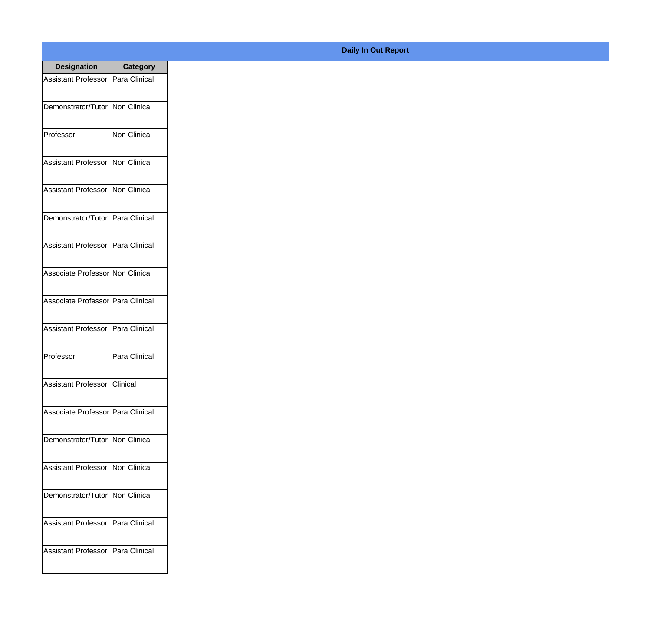| <b>Designation</b>                  | <b>Category</b> |
|-------------------------------------|-----------------|
| <b>Assistant Professor</b>          | Para Clinical   |
| Demonstrator/Tutor   Non Clinical   |                 |
| Professor                           | Non Clinical    |
| <b>Assistant Professor</b>          | Non Clinical    |
| <b>Assistant Professor</b>          | Non Clinical    |
| Demonstrator/Tutor   Para Clinical  |                 |
| Assistant Professor   Para Clinical |                 |
| Associate Professor Non Clinical    |                 |
| Associate Professor Para Clinical   |                 |
| <b>Assistant Professor</b>          | Para Clinical   |
| Professor                           | Para Clinical   |
| Assistant Professor Clinical        |                 |
| Associate Professor   Para Clinical |                 |
| Demonstrator/Tutor   Non Clinical   |                 |
| Assistant Professor   Non Clinical  |                 |
| Demonstrator/Tutor   Non Clinical   |                 |
| <b>Assistant Professor</b>          | Para Clinical   |
| <b>Assistant Professor</b>          | Para Clinical   |

## **Daily In Out Report**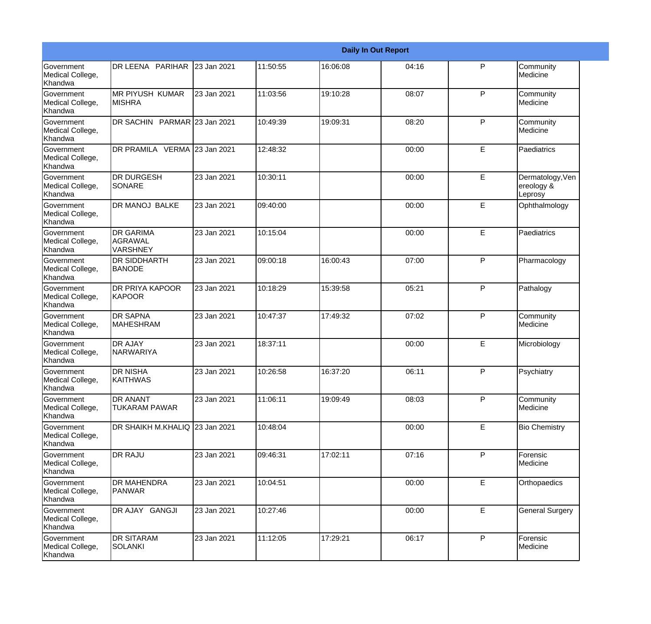|                                                  |                                                       |             |          |          | <b>Daily In Out Report</b> |              |                                           |
|--------------------------------------------------|-------------------------------------------------------|-------------|----------|----------|----------------------------|--------------|-------------------------------------------|
| Government<br>Medical College,<br>Khandwa        | DR LEENA PARIHAR 23 Jan 2021                          |             | 11:50:55 | 16:06:08 | 04:16                      | P            | Community<br>Medicine                     |
| <b>Government</b><br>Medical College,<br>Khandwa | <b>MR PIYUSH KUMAR</b><br><b>MISHRA</b>               | 23 Jan 2021 | 11:03:56 | 19:10:28 | 08:07                      | $\mathsf{P}$ | Community<br>Medicine                     |
| <b>Government</b><br>Medical College,<br>Khandwa | DR SACHIN PARMAR 23 Jan 2021                          |             | 10:49:39 | 19:09:31 | 08:20                      | P            | Community<br>Medicine                     |
| <b>Government</b><br>Medical College,<br>Khandwa | DR PRAMILA VERMA 23 Jan 2021                          |             | 12:48:32 |          | 00:00                      | E            | Paediatrics                               |
| <b>Government</b><br>Medical College,<br>Khandwa | <b>DR DURGESH</b><br><b>SONARE</b>                    | 23 Jan 2021 | 10:30:11 |          | 00:00                      | E            | Dermatology, Ven<br>ereology &<br>Leprosy |
| <b>Government</b><br>Medical College,<br>Khandwa | <b>DR MANOJ BALKE</b>                                 | 23 Jan 2021 | 09:40:00 |          | 00:00                      | E            | Ophthalmology                             |
| Government<br>Medical College,<br>Khandwa        | <b>DR GARIMA</b><br><b>AGRAWAL</b><br><b>VARSHNEY</b> | 23 Jan 2021 | 10:15:04 |          | 00:00                      | E            | Paediatrics                               |
| Government<br>Medical College,<br>Khandwa        | <b>DR SIDDHARTH</b><br><b>BANODE</b>                  | 23 Jan 2021 | 09:00:18 | 16:00:43 | 07:00                      | P            | Pharmacology                              |
| Government<br>Medical College,<br>Khandwa        | DR PRIYA KAPOOR<br><b>KAPOOR</b>                      | 23 Jan 2021 | 10:18:29 | 15:39:58 | 05:21                      | $\mathsf{P}$ | Pathalogy                                 |
| <b>Government</b><br>Medical College,<br>Khandwa | <b>DR SAPNA</b><br><b>MAHESHRAM</b>                   | 23 Jan 2021 | 10:47:37 | 17:49:32 | 07:02                      | P            | Community<br>Medicine                     |
| <b>Government</b><br>Medical College,<br>Khandwa | <b>DR AJAY</b><br>NARWARIYA                           | 23 Jan 2021 | 18:37:11 |          | 00:00                      | E            | Microbiology                              |
| Government<br>Medical College,<br>Khandwa        | <b>DR NISHA</b><br><b>KAITHWAS</b>                    | 23 Jan 2021 | 10:26:58 | 16:37:20 | 06:11                      | P            | Psychiatry                                |
| <b>Government</b><br>Medical College,<br>Khandwa | <b>DR ANANT</b><br><b>TUKARAM PAWAR</b>               | 23 Jan 2021 | 11:06:11 | 19:09:49 | 08:03                      | $\mathsf{P}$ | Community<br>Medicine                     |
| Government<br>Medical College,<br>Khandwa        | DR SHAIKH M.KHALIQ 23 Jan 2021                        |             | 10:48:04 |          | 00:00                      | E            | <b>Bio Chemistry</b>                      |
| Government<br>Medical College,<br>Khandwa        | <b>DR RAJU</b>                                        | 23 Jan 2021 | 09:46:31 | 17:02:11 | 07:16                      | P            | Forensic<br>Medicine                      |
| Government<br>Medical College,<br>Khandwa        | <b>DR MAHENDRA</b><br>PANWAR                          | 23 Jan 2021 | 10:04:51 |          | 00:00                      | E.           | Orthopaedics                              |
| Government<br>Medical College,<br>Khandwa        | DR AJAY GANGJI                                        | 23 Jan 2021 | 10:27:46 |          | 00:00                      | E            | <b>General Surgery</b>                    |
| Government<br>Medical College,<br>Khandwa        | <b>DR SITARAM</b><br><b>SOLANKI</b>                   | 23 Jan 2021 | 11:12:05 | 17:29:21 | 06:17                      | $\mathsf{P}$ | Forensic<br>Medicine                      |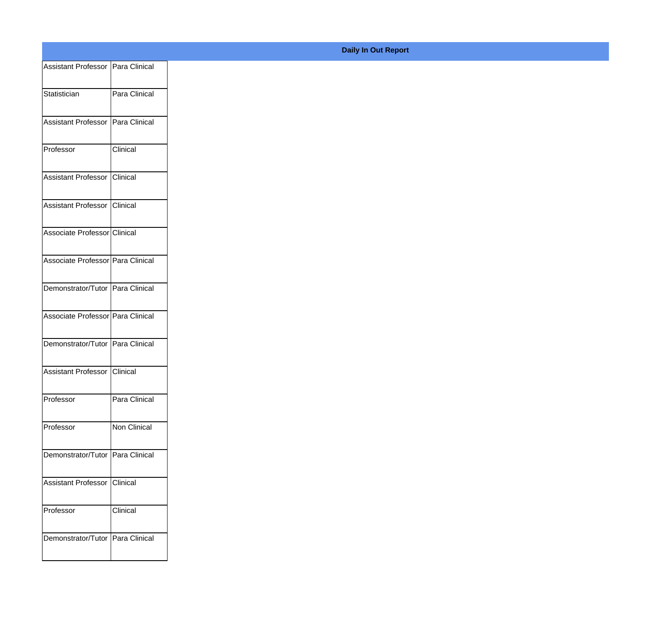| Assistant Professor Para Clinical |                 |
|-----------------------------------|-----------------|
| Statistician                      | Para Clinical   |
|                                   |                 |
| Assistant Professor Para Clinical |                 |
| Professor                         | Clinical        |
|                                   |                 |
| Assistant Professor Clinical      |                 |
| Assistant Professor Clinical      |                 |
|                                   |                 |
| Associate Professor Clinical      |                 |
| Associate Professor Para Clinical |                 |
|                                   |                 |
| Demonstrator/Tutor Para Clinical  |                 |
| Associate Professor Para Clinical |                 |
| Demonstrator/Tutor Para Clinical  |                 |
|                                   |                 |
| Assistant Professor Clinical      |                 |
| Professor                         | Para Clinical   |
|                                   |                 |
| Professor                         | Non Clinical    |
| Demonstrator/Tutor Para Clinical  |                 |
|                                   |                 |
| Assistant Professor               | <b>Clinical</b> |
| Professor                         | Clinical        |
|                                   |                 |
| Demonstrator/Tutor Para Clinical  |                 |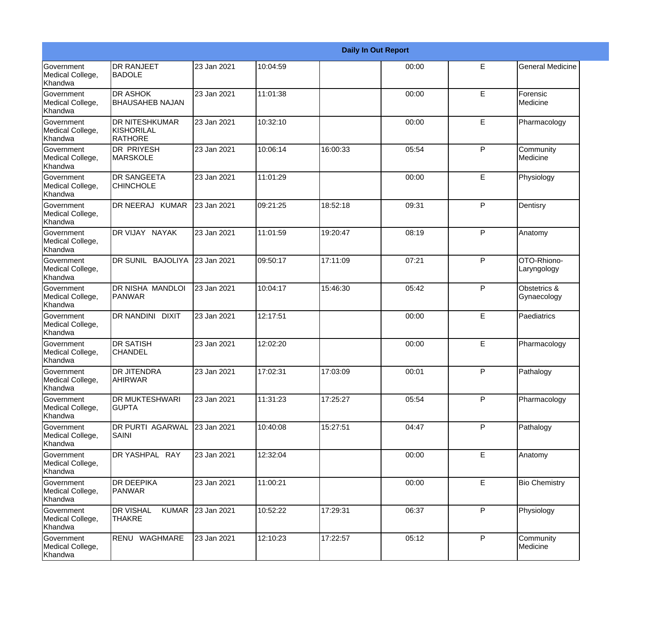|                                                  |                                                       |             |          |          | <b>Daily In Out Report</b> |   |                             |
|--------------------------------------------------|-------------------------------------------------------|-------------|----------|----------|----------------------------|---|-----------------------------|
| Government<br>Medical College,<br>Khandwa        | <b>DR RANJEET</b><br><b>BADOLE</b>                    | 23 Jan 2021 | 10:04:59 |          | 00:00                      | E | <b>General Medicine</b>     |
| <b>Government</b><br>Medical College,<br>Khandwa | <b>DR ASHOK</b><br><b>BHAUSAHEB NAJAN</b>             | 23 Jan 2021 | 11:01:38 |          | 00:00                      | E | Forensic<br>Medicine        |
| <b>Government</b><br>Medical College,<br>Khandwa | <b>DR NITESHKUMAR</b><br>KISHORILAL<br><b>RATHORE</b> | 23 Jan 2021 | 10:32:10 |          | 00:00                      | E | Pharmacology                |
| <b>Government</b><br>Medical College,<br>Khandwa | <b>DR PRIYESH</b><br>MARSKOLE                         | 23 Jan 2021 | 10:06:14 | 16:00:33 | 05:54                      | P | Community<br>Medicine       |
| Government<br>Medical College,<br>Khandwa        | <b>DR SANGEETA</b><br><b>CHINCHOLE</b>                | 23 Jan 2021 | 11:01:29 |          | 00:00                      | E | Physiology                  |
| Government<br>Medical College,<br><b>Khandwa</b> | DR NEERAJ KUMAR                                       | 23 Jan 2021 | 09:21:25 | 18:52:18 | 09:31                      | P | Dentisry                    |
| Government<br>Medical College,<br><b>Khandwa</b> | DR VIJAY NAYAK                                        | 23 Jan 2021 | 11:01:59 | 19:20:47 | 08:19                      | P | Anatomy                     |
| Government<br>Medical College,<br>Khandwa        | DR SUNIL BAJOLIYA                                     | 23 Jan 2021 | 09:50:17 | 17:11:09 | 07:21                      | P | OTO-Rhiono-<br>Laryngology  |
| Government<br>Medical College,<br>Khandwa        | DR NISHA MANDLOI<br>PANWAR                            | 23 Jan 2021 | 10:04:17 | 15:46:30 | 05:42                      | P | Obstetrics &<br>Gynaecology |
| <b>Government</b><br>Medical College,<br>Khandwa | DR NANDINI DIXIT                                      | 23 Jan 2021 | 12:17:51 |          | 00:00                      | E | Paediatrics                 |
| <b>Government</b><br>Medical College,<br>Khandwa | <b>DR SATISH</b><br><b>CHANDEL</b>                    | 23 Jan 2021 | 12:02:20 |          | 00:00                      | E | Pharmacology                |
| Government<br>Medical College,<br>Khandwa        | <b>DR JITENDRA</b><br>AHIRWAR                         | 23 Jan 2021 | 17:02:31 | 17:03:09 | 00:01                      | P | Pathalogy                   |
| Government<br>Medical College,<br>Khandwa        | DR MUKTESHWARI<br><b>GUPTA</b>                        | 23 Jan 2021 | 11:31:23 | 17:25:27 | 05:54                      | P | Pharmacology                |
| Government<br>Medical College,<br>Khandwa        | DR PURTI AGARWAL<br><b>SAINI</b>                      | 23 Jan 2021 | 10:40:08 | 15:27:51 | 04:47                      | P | Pathalogy                   |
| Government<br>Medical College,<br>Khandwa        | DR YASHPAL RAY                                        | 23 Jan 2021 | 12:32:04 |          | 00:00                      | E | Anatomy                     |
| Government<br>Medical College,<br>Khandwa        | <b>DR DEEPIKA</b><br>PANWAR                           | 23 Jan 2021 | 11:00:21 |          | 00:00                      | E | <b>Bio Chemistry</b>        |
| Government<br>Medical College,<br>Khandwa        | <b>DR VISHAL</b><br><b>KUMAR</b><br><b>THAKRE</b>     | 23 Jan 2021 | 10:52:22 | 17:29:31 | 06:37                      | P | Physiology                  |
| Government<br>Medical College,<br>Khandwa        | RENU WAGHMARE                                         | 23 Jan 2021 | 12:10:23 | 17:22:57 | 05:12                      | P | Community<br>Medicine       |